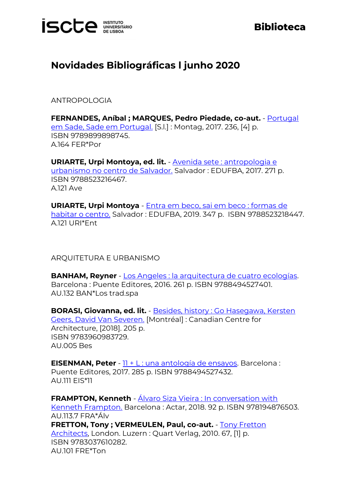

## **Biblioteca**

## **Novidades Bibliográficas l junho 2020**

ANTROPOLOGIA

**FERNANDES, Aníbal ; MARQUES, Pedro Piedade, co-aut.** - [Portugal](http://catalogo.biblioteca.iscte-iul.pt/cgi-bin/koha/opac-detail.pl?biblionumber=99833)  [em Sade, Sade em Portugal.](http://catalogo.biblioteca.iscte-iul.pt/cgi-bin/koha/opac-detail.pl?biblionumber=99833) [S.l.] : Montag, 2017. 236, [4] p. ISBN 9789899898745. A.164 FER\*Por

**URIARTE, Urpi Montoya, ed. lit.** - [Avenida sete : antropologia e](http://catalogo.biblioteca.iscte-iul.pt/cgi-bin/koha/opac-detail.pl?biblionumber=103591)  [urbanismo no centro de Salvador.](http://catalogo.biblioteca.iscte-iul.pt/cgi-bin/koha/opac-detail.pl?biblionumber=103591) Salvador : EDUFBA, 2017. 271 p. ISBN 9788523216467. A.121 Ave

**URIARTE, Urpi Montoya** - [Entra em beco, sai em beco : formas de](http://catalogo.biblioteca.iscte-iul.pt/cgi-bin/koha/opac-detail.pl?biblionumber=103592)  [habitar o centro.](http://catalogo.biblioteca.iscte-iul.pt/cgi-bin/koha/opac-detail.pl?biblionumber=103592) Salvador : EDUFBA, 2019. 347 p. ISBN 9788523218447. A.121 URI\*Ent

ARQUITETURA E URBANISMO

**BANHAM, Reyner** - [Los Angeles : la arquitectura de cuatro ecologías.](http://catalogo.biblioteca.iscte-iul.pt/cgi-bin/koha/opac-detail.pl?biblionumber=104824) Barcelona : Puente Editores, 2016. 261 p. ISBN 9788494527401. AU.132 BAN\*Los trad.spa

**BORASI, Giovanna, ed. lit.** - [Besides, history : Go Hasegawa, Kersten](http://catalogo.biblioteca.iscte-iul.pt/cgi-bin/koha/opac-detail.pl?biblionumber=103748)  [Geers, David Van Severen.](http://catalogo.biblioteca.iscte-iul.pt/cgi-bin/koha/opac-detail.pl?biblionumber=103748) [Montréal] : Canadian Centre for Architecture, [2018]. 205 p. ISBN 9783960983729. AU.005 Bes

**EISENMAN, Peter** - [11 + L : una antología de ensayos.](http://catalogo.biblioteca.iscte-iul.pt/cgi-bin/koha/opac-detail.pl?biblionumber=104827) Barcelona : Puente Editores, 2017. 285 p. ISBN 9788494527432. AU.111 EIS\*11

**FRAMPTON, Kenneth** - Álvaro Siza Vieira : In conversation with [Kenneth Frampton.](http://catalogo.biblioteca.iscte-iul.pt/cgi-bin/koha/opac-detail.pl?biblionumber=105063) Barcelona : Actar, 2018. 92 p. ISBN 978194876503. AU.113.7 FRA\*Álv **FRETTON, Tony ; VERMEULEN, Paul, co-aut.** - [Tony Fretton](http://catalogo.biblioteca.iscte-iul.pt/cgi-bin/koha/opac-detail.pl?biblionumber=103390)  [Architects,](http://catalogo.biblioteca.iscte-iul.pt/cgi-bin/koha/opac-detail.pl?biblionumber=103390) London. Luzern : Quart Verlag, 2010. 67, [1] p. ISBN 9783037610282. AU.101 FRE\*Ton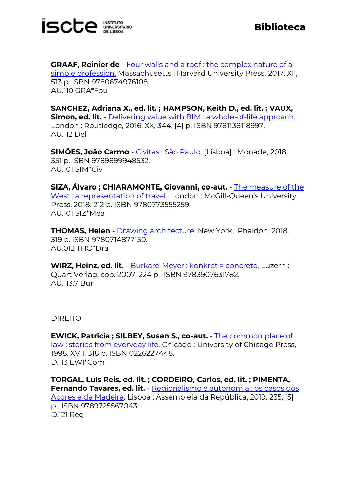

**GRAAF, Reinier de** - [Four walls and a roof : the complex nature of a](http://catalogo.biblioteca.iscte-iul.pt/cgi-bin/koha/opac-detail.pl?biblionumber=103493)  [simple profession.](http://catalogo.biblioteca.iscte-iul.pt/cgi-bin/koha/opac-detail.pl?biblionumber=103493) Massachusetts : Harvard University Press, 2017. XII, 513 p. ISBN 9780674976108. AU.110 GRA\*Fou

**SANCHEZ, Adriana X., ed. lit. ; HAMPSON, Keith D., ed. lit. ; VAUX, Simon, ed. lit.** - [Delivering value with BIM : a whole-of-life approach.](http://catalogo.biblioteca.iscte-iul.pt/cgi-bin/koha/opac-detail.pl?biblionumber=104255) London : Routledge, 2016. XX, 344, [4] p. ISBN 9781138118997. AU.112 Del

**SIMÕES, João Carmo** - [Civitas : São Paulo.](http://catalogo.biblioteca.iscte-iul.pt/cgi-bin/koha/opac-detail.pl?biblionumber=104292) [Lisboa] : Monade, 2018. 351 p. ISBN 9789899948532. AU.101 SIM\*Civ

**SIZA, Álvaro ; CHIARAMONTE, Giovanni, co-aut.** - [The measure of the](http://catalogo.biblioteca.iscte-iul.pt/cgi-bin/koha/opac-detail.pl?biblionumber=105326)  [West : a representation of travel .](http://catalogo.biblioteca.iscte-iul.pt/cgi-bin/koha/opac-detail.pl?biblionumber=105326) London : McGill-Queen's University Press, 2018. 212 p. ISBN 9780773555259. AU.101 SIZ\*Mea

**THOMAS, Helen** - **Drawing architecture**. New York: Phaidon, 2018. 319 p. ISBN 9780714877150. AU.012 THO\*Dra

**WIRZ, Heinz, ed. lit.** - [Burkard Meyer : konkret = concrete.](http://catalogo.biblioteca.iscte-iul.pt/cgi-bin/koha/opac-detail.pl?biblionumber=103334) Luzern : Quart Verlag, cop. 2007. 224 p. ISBN 9783907631782. AU.113.7 Bur

DIREITO

**EWICK, Patricia ; SILBEY, Susan S., co-aut.** - [The common place of](https://catalogo.biblioteca.iscte-iul.pt/cgi-bin/koha/opac-detail.pl?biblionumber=104813)  [law : stories from everyday life.](https://catalogo.biblioteca.iscte-iul.pt/cgi-bin/koha/opac-detail.pl?biblionumber=104813) Chicago : University of Chicago Press, 1998. XVII, 318 p. ISBN 0226227448. D.113 EWI\*Com

**TORGAL, Luís Reis, ed. lit. ; CORDEIRO, Carlos, ed. lit. ; PIMENTA, Fernando Tavares, ed. lit.** - [Regionalismo e autonomia : os casos dos](http://catalogo.biblioteca.iscte-iul.pt/cgi-bin/koha/opac-detail.pl?biblionumber=105793)  [Açores e da Madeira.](http://catalogo.biblioteca.iscte-iul.pt/cgi-bin/koha/opac-detail.pl?biblionumber=105793) Lisboa : Assembleia da República, 2019. 235, [5] p. ISBN 9789725567043. D.121 Reg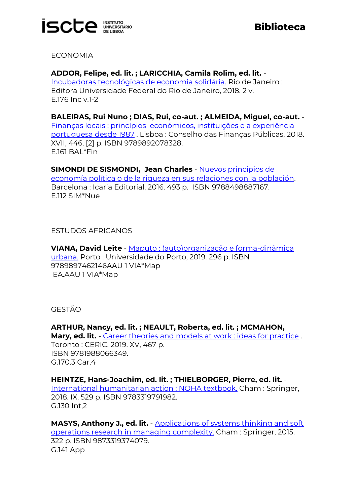

ECONOMIA

**ADDOR, Felipe, ed. lit. ; LARICCHIA, Camila Rolim, ed. lit.** - [Incubadoras tecnológicas de economia solidária.](http://catalogo.biblioteca.iscte-iul.pt/cgi-bin/koha/opac-detail.pl?biblionumber=103304) Rio de Janeiro : Editora Universidade Federal do Rio de Janeiro, 2018. 2 v. E.176 Inc v.1-2

**BALEIRAS, Rui Nuno ; DIAS, Rui, co-aut. ; ALMEIDA, Miguel, co-aut.** - Finanças locais : princípios [económicos, instituições e a experiência](http://catalogo.biblioteca.iscte-iul.pt/cgi-bin/koha/opac-detail.pl?biblionumber=103600)  [portuguesa desde 1987](http://catalogo.biblioteca.iscte-iul.pt/cgi-bin/koha/opac-detail.pl?biblionumber=103600) . Lisboa : Conselho das Finanças Públicas, 2018. XVII, 446, [2] p. ISBN 9789892078328. E.161 BAL\*Fin

**SIMONDI DE SISMONDI, Jean Charles** - [Nuevos principios de](http://catalogo.biblioteca.iscte-iul.pt/cgi-bin/koha/opac-detail.pl?biblionumber=103469)  [economía política o de la riqueza en sus relaciones con la población.](http://catalogo.biblioteca.iscte-iul.pt/cgi-bin/koha/opac-detail.pl?biblionumber=103469) Barcelona : Icaria Editorial, 2016. 493 p. ISBN 9788498887167. E.112 SIM\*Nue

ESTUDOS AFRICANOS

**VIANA, David Leite** - [Maputo : \(auto\)organização e forma-dinâmica](http://catalogo.biblioteca.iscte-iul.pt/cgi-bin/koha/opac-detail.pl?biblionumber=104734)  [urbana.](http://catalogo.biblioteca.iscte-iul.pt/cgi-bin/koha/opac-detail.pl?biblionumber=104734) Porto : Universidade do Porto, 2019. 296 p. ISBN 9789897462146AAU 1 VIA\*Map EA.AAU 1 VIA\*Map

GESTÃO

**ARTHUR, Nancy, ed. lit. ; NEAULT, Roberta, ed. lit. ; MCMAHON, Mary, ed. lit.** - [Career theories and models at work : ideas for practice](http://catalogo.biblioteca.iscte-iul.pt/cgi-bin/koha/opac-detail.pl?biblionumber=104574) . Toronto : CERIC, 2019. XV, 467 p. ISBN 9781988066349. G.170.3 Car,4

**HEINTZE, Hans-Joachim, ed. lit. ; THIELBORGER, Pierre, ed. lit.** - [International humanitarian action : NOHA textbook.](http://catalogo.biblioteca.iscte-iul.pt/cgi-bin/koha/opac-detail.pl?biblionumber=103701) Cham : Springer, 2018. IX, 529 p. ISBN 9783319791982. G.130 Int,2

**MASYS, Anthony J., ed. lit.** - [Applications of systems thinking and soft](http://catalogo.biblioteca.iscte-iul.pt/cgi-bin/koha/opac-detail.pl?biblionumber=103702)  [operations research in managing complexity.](http://catalogo.biblioteca.iscte-iul.pt/cgi-bin/koha/opac-detail.pl?biblionumber=103702) Cham : Springer, 2015. 322 p. ISBN 9873319374079. G.141 App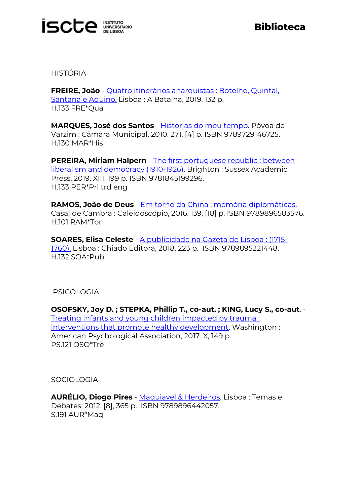

HISTÓRIA

**FREIRE, João** - [Quatro itinerários anarquistas : Botelho, Quintal,](http://catalogo.biblioteca.iscte-iul.pt/cgi-bin/koha/opac-detail.pl?biblionumber=105364)  [Santana e Aquino.](http://catalogo.biblioteca.iscte-iul.pt/cgi-bin/koha/opac-detail.pl?biblionumber=105364) Lisboa : A Batalha, 2019. 132 p. H.133 FRE\*Qua

**MARQUES, José dos Santos** - [Histórias do meu tempo.](http://catalogo.biblioteca.iscte-iul.pt/cgi-bin/koha/opac-detail.pl?biblionumber=103966) Póvoa de Varzim : Câmara Municipal, 2010. 271, [4] p. ISBN 9789729146725. H.130 MAR\*His

**PEREIRA, Miriam Halpern** - [The first portuguese republic : between](http://catalogo.biblioteca.iscte-iul.pt/cgi-bin/koha/opac-detail.pl?biblionumber=104746)  [liberalism and democracy \(1910-1926\).](http://catalogo.biblioteca.iscte-iul.pt/cgi-bin/koha/opac-detail.pl?biblionumber=104746) Brighton : Sussex Academic Press, 2019. XIII, 199 p. ISBN 9781845199296. H.133 PER\*Pri trd eng

**RAMOS, João de Deus** - [Em torno da China : memória diplomáticas.](http://catalogo.biblioteca.iscte-iul.pt/cgi-bin/koha/opac-detail.pl?biblionumber=103250) Casal de Cambra : Caleidoscópio, 2016. 139, [18] p. ISBN 9789896583576. H.101 RAM\*Tor

**SOARES, Elisa Celeste** - [A publicidade na Gazeta de Lisboa : \(1715-](http://catalogo.biblioteca.iscte-iul.pt/cgi-bin/koha/opac-detail.pl?biblionumber=104452) [1760\).](http://catalogo.biblioteca.iscte-iul.pt/cgi-bin/koha/opac-detail.pl?biblionumber=104452) Lisboa : Chiado Editora, 2018. 223 p. ISBN 9789895221448. H.132 SOA\*Pub

PSICOLOGIA

**OSOFSKY, Joy D. ; STEPKA, Phillip T., co-aut. ; KING, Lucy S., co-aut**. - [Treating infants and young children impacted by trauma :](http://catalogo.biblioteca.iscte-iul.pt/cgi-bin/koha/opac-detail.pl?biblionumber=103734)  [interventions that promote healthy development.](http://catalogo.biblioteca.iscte-iul.pt/cgi-bin/koha/opac-detail.pl?biblionumber=103734) Washington : American Psychological Association, 2017. X, 149 p. PS.121 OSO\*Tre

**SOCIOLOGIA** 

**AURÉLIO, Diogo Pires** - [Maquiavel & Herdeiros.](http://catalogo.biblioteca.iscte-iul.pt/cgi-bin/koha/opac-detail.pl?biblionumber=104740) Lisboa : Temas e Debates, 2012. [8], 365 p. ISBN 9789896442057. S.191 AUR\*Maq